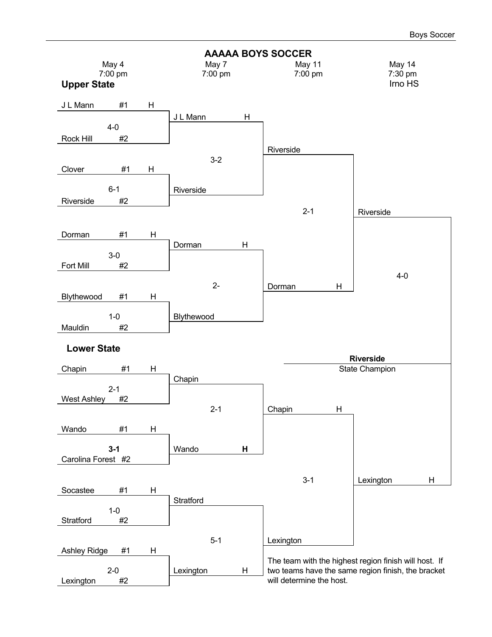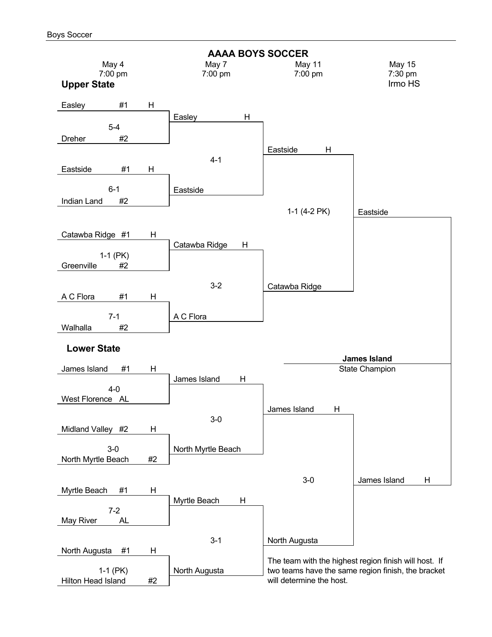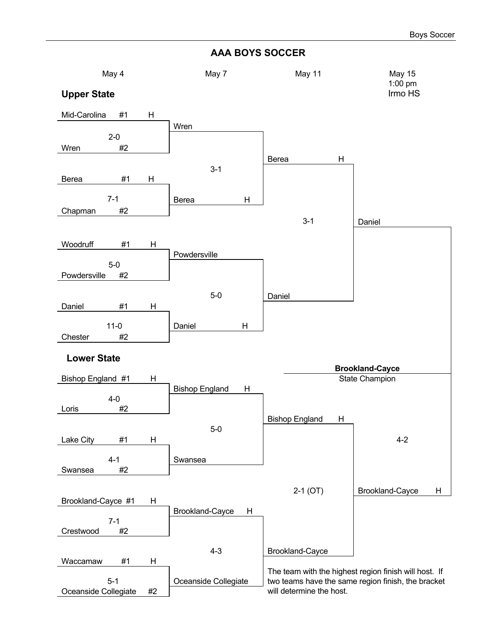#### **AAA BOYS SOCCER**

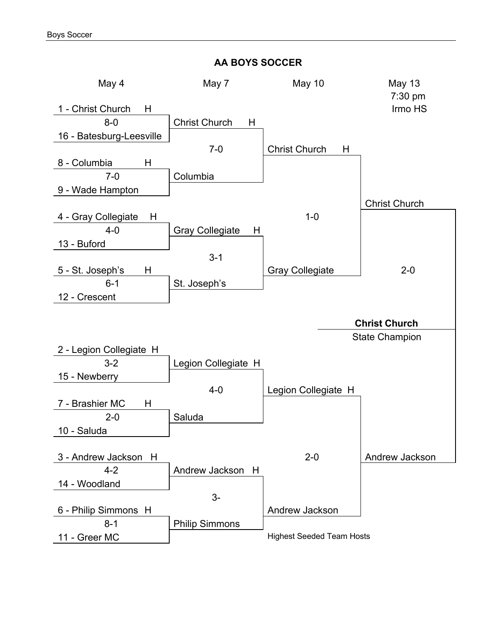## **AA BOYS SOCCER**

| May 4                    | May 7                       | May 10                    | <b>May 13</b>         |
|--------------------------|-----------------------------|---------------------------|-----------------------|
| 1 - Christ Church<br>H   |                             |                           | 7:30 pm<br>Irmo HS    |
| $8-0$                    |                             |                           |                       |
|                          | <b>Christ Church</b><br>H   |                           |                       |
| 16 - Batesburg-Leesville |                             |                           |                       |
|                          | $7 - 0$                     | <b>Christ Church</b><br>H |                       |
| 8 - Columbia<br>H        |                             |                           |                       |
| $7 - 0$                  | Columbia                    |                           |                       |
| 9 - Wade Hampton         |                             |                           |                       |
|                          |                             |                           | <b>Christ Church</b>  |
| 4 - Gray Collegiate<br>H |                             | $1 - 0$                   |                       |
| $4 - 0$                  | <b>Gray Collegiate</b><br>H |                           |                       |
| 13 - Buford              |                             |                           |                       |
|                          | $3 - 1$                     |                           |                       |
| 5 - St. Joseph's<br>H    |                             | <b>Gray Collegiate</b>    | $2 - 0$               |
| $6 - 1$                  | St. Joseph's                |                           |                       |
| 12 - Crescent            |                             |                           |                       |
|                          |                             |                           |                       |
|                          |                             |                           | <b>Christ Church</b>  |
|                          |                             |                           | <b>State Champion</b> |
| 2 - Legion Collegiate H  |                             |                           |                       |
| $3-2$                    | Legion Collegiate H         |                           |                       |
| 15 - Newberry            |                             |                           |                       |
|                          | $4-0$                       | Legion Collegiate H       |                       |
| 7 - Brashier MC<br>H     |                             |                           |                       |
| $2 - 0$                  | Saluda                      |                           |                       |
| 10 - Saluda              |                             |                           |                       |
|                          |                             |                           |                       |
| 3 - Andrew Jackson<br>H  |                             | $2 - 0$                   | Andrew Jackson        |
| $4 - 2$                  | Andrew Jackson<br>H         |                           |                       |
| 14 - Woodland            |                             |                           |                       |
|                          | $3-$                        |                           |                       |
| 6 - Philip Simmons H     |                             |                           |                       |
|                          |                             | Andrew Jackson            |                       |
| $8 - 1$                  | <b>Philip Simmons</b>       |                           |                       |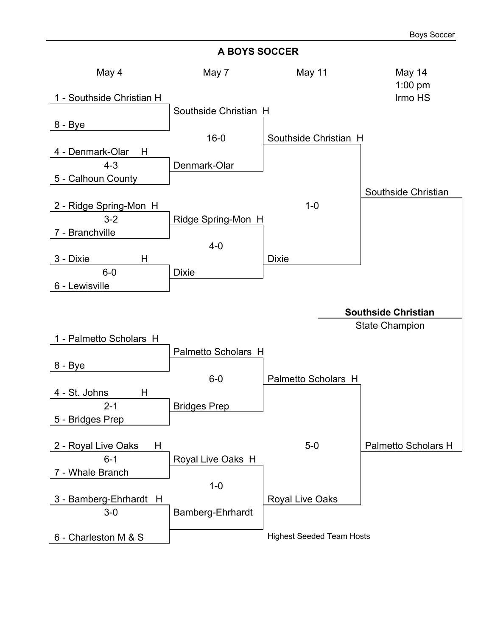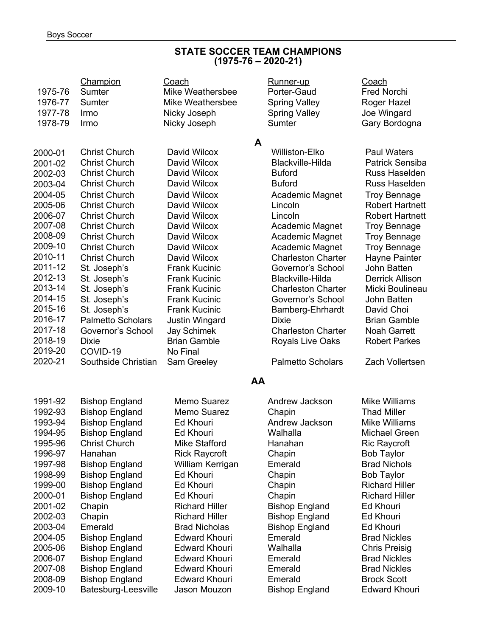#### **STATE SOCCER TEAM CHAMPIONS (1975-76 – 2020-21)**

| 1975-76<br>1976-77<br>1977-78 | Champion<br>Sumter<br>Sumter<br>Irmo | Coach<br><b>Mike Weathersbee</b><br><b>Mike Weathersbee</b><br>Nicky Joseph | Runner-up<br>Porter-Gaud<br><b>Spring Valley</b><br><b>Spring Valley</b> | Coach<br><b>Fred Norchi</b><br>Roger Hazel<br>Joe Wingard |
|-------------------------------|--------------------------------------|-----------------------------------------------------------------------------|--------------------------------------------------------------------------|-----------------------------------------------------------|
| 1978-79                       | Irmo                                 | Nicky Joseph                                                                | Sumter                                                                   | Gary Bordogna                                             |
|                               |                                      |                                                                             |                                                                          |                                                           |
| 2000-01                       | <b>Christ Church</b>                 | David Wilcox                                                                | A<br><b>Williston-Elko</b>                                               | <b>Paul Waters</b>                                        |
| 2001-02                       | <b>Christ Church</b>                 | David Wilcox                                                                | Blackville-Hilda                                                         | <b>Patrick Sensiba</b>                                    |
| 2002-03                       | <b>Christ Church</b>                 | David Wilcox                                                                | <b>Buford</b>                                                            | Russ Haselden                                             |
| 2003-04                       | <b>Christ Church</b>                 | David Wilcox                                                                | <b>Buford</b>                                                            | Russ Haselden                                             |
| 2004-05                       | <b>Christ Church</b>                 | David Wilcox                                                                | Academic Magnet                                                          | <b>Troy Bennage</b>                                       |
| 2005-06                       | <b>Christ Church</b>                 | David Wilcox                                                                | Lincoln                                                                  | <b>Robert Hartnett</b>                                    |
| 2006-07                       | <b>Christ Church</b>                 | David Wilcox                                                                | Lincoln                                                                  | <b>Robert Hartnett</b>                                    |
| 2007-08                       | <b>Christ Church</b>                 | David Wilcox                                                                | Academic Magnet                                                          | <b>Troy Bennage</b>                                       |
| 2008-09                       | <b>Christ Church</b>                 | David Wilcox                                                                | Academic Magnet                                                          | <b>Troy Bennage</b>                                       |
| 2009-10                       | <b>Christ Church</b>                 | David Wilcox                                                                | Academic Magnet                                                          | <b>Troy Bennage</b>                                       |
| 2010-11                       | <b>Christ Church</b>                 | David Wilcox                                                                | <b>Charleston Charter</b>                                                | Hayne Painter                                             |
| 2011-12                       | St. Joseph's                         | <b>Frank Kucinic</b>                                                        | Governor's School                                                        | John Batten                                               |
| 2012-13                       | St. Joseph's                         | <b>Frank Kucinic</b>                                                        | <b>Blackville-Hilda</b>                                                  | <b>Derrick Allison</b>                                    |
| 2013-14                       | St. Joseph's                         | <b>Frank Kucinic</b>                                                        | <b>Charleston Charter</b>                                                | Micki Boulineau                                           |
| 2014-15                       | St. Joseph's                         | <b>Frank Kucinic</b>                                                        | Governor's School                                                        | John Batten                                               |
| 2015-16                       | St. Joseph's                         | <b>Frank Kucinic</b>                                                        | Bamberg-Ehrhardt                                                         | David Choi                                                |
| 2016-17                       | <b>Palmetto Scholars</b>             | <b>Justin Wingard</b>                                                       | <b>Dixie</b>                                                             | <b>Brian Gamble</b>                                       |
| 2017-18                       | Governor's School                    | <b>Jay Schimek</b>                                                          | <b>Charleston Charter</b>                                                | <b>Noah Garrett</b>                                       |
| 2018-19                       | <b>Dixie</b>                         | <b>Brian Gamble</b>                                                         | Royals Live Oaks                                                         | <b>Robert Parkes</b>                                      |
| 2019-20                       | COVID-19                             | No Final                                                                    |                                                                          |                                                           |
| 2020-21                       | Southside Christian                  | Sam Greeley                                                                 | <b>Palmetto Scholars</b>                                                 | Zach Vollertsen                                           |
|                               |                                      |                                                                             | AA                                                                       |                                                           |
| 1991-92                       | <b>Bishop England</b>                | Memo Suarez                                                                 | Andrew Jackson                                                           | <b>Mike Williams</b>                                      |
| 1992-93                       | <b>Bishop England</b>                | Memo Suarez                                                                 | Chapin                                                                   | <b>Thad Miller</b>                                        |
| 1993-94                       | <b>Bishop England</b>                | <b>Ed Khouri</b>                                                            | Andrew Jackson                                                           | <b>Mike Williams</b>                                      |
| 1994-95                       | <b>Bishop England</b>                | Ed Khouri                                                                   | Walhalla                                                                 | Michael Green                                             |
| 1995-96                       | <b>Christ Church</b>                 | <b>Mike Stafford</b>                                                        | Hanahan                                                                  | <b>Ric Raycroft</b>                                       |
| 1996-97                       | Hanahan                              | <b>Rick Raycroft</b>                                                        | Chapin                                                                   | <b>Bob Taylor</b>                                         |
| 1997-98                       | <b>Bishop England</b>                | William Kerrigan                                                            | Emerald                                                                  | <b>Brad Nichols</b>                                       |
| 1998-99                       | <b>Bishop England</b>                | Ed Khouri                                                                   | Chapin                                                                   | <b>Bob Taylor</b>                                         |
| 1999-00                       | <b>Bishop England</b>                | Ed Khouri                                                                   | Chapin                                                                   | <b>Richard Hiller</b>                                     |
| 2000-01                       | <b>Bishop England</b>                | Ed Khouri                                                                   | Chapin                                                                   | <b>Richard Hiller</b>                                     |
| 2001-02                       | Chapin                               | <b>Richard Hiller</b>                                                       | <b>Bishop England</b>                                                    | <b>Ed Khouri</b>                                          |
| 2002-03                       | Chapin                               | <b>Richard Hiller</b>                                                       | <b>Bishop England</b>                                                    | <b>Ed Khouri</b>                                          |
| 2003-04                       | Emerald                              | <b>Brad Nicholas</b>                                                        | <b>Bishop England</b>                                                    | Ed Khouri                                                 |
| 2004-05                       | <b>Bishop England</b>                | <b>Edward Khouri</b>                                                        | Emerald                                                                  | <b>Brad Nickles</b>                                       |
| 2005-06                       | <b>Bishop England</b>                | <b>Edward Khouri</b>                                                        | Walhalla                                                                 | <b>Chris Preisig</b>                                      |
| 2006-07                       | <b>Bishop England</b>                | <b>Edward Khouri</b>                                                        | Emerald                                                                  | <b>Brad Nickles</b>                                       |
| 2007-08                       | <b>Bishop England</b>                | <b>Edward Khouri</b>                                                        | Emerald                                                                  | <b>Brad Nickles</b>                                       |
| 2008-09                       | <b>Bishop England</b>                | <b>Edward Khouri</b>                                                        | Emerald                                                                  | <b>Brock Scott</b>                                        |
| 2009-10                       | Batesburg-Leesville                  | Jason Mouzon                                                                | <b>Bishop England</b>                                                    | <b>Edward Khouri</b>                                      |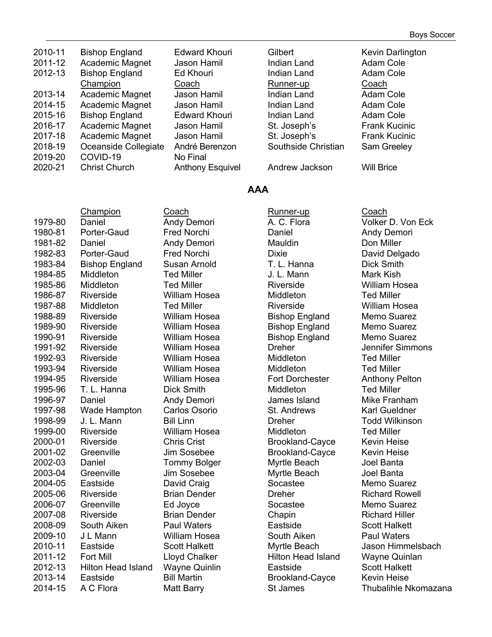| 2010-11<br>2011-12 | <b>Bishop England</b><br>Academic Magnet | <b>Edward Khouri</b><br>Jason Hamil | Gilbert<br>Indian Land | Kevin Darlington<br>Adam Cole |
|--------------------|------------------------------------------|-------------------------------------|------------------------|-------------------------------|
| 2012-13            | <b>Bishop England</b>                    | Ed Khouri                           | <b>Indian Land</b>     | Adam Cole                     |
|                    | Champion                                 | Coach                               | Runner-up              | Coach                         |
| 2013-14            | Academic Magnet                          | Jason Hamil                         | <b>Indian Land</b>     | Adam Cole                     |
| 2014-15            | Academic Magnet                          | Jason Hamil                         | <b>Indian Land</b>     | Adam Cole                     |
| 2015-16            | <b>Bishop England</b>                    | <b>Edward Khouri</b>                | <b>Indian Land</b>     | Adam Cole                     |
| 2016-17            | Academic Magnet                          | Jason Hamil                         | St. Joseph's           | <b>Frank Kucinic</b>          |
| 2017-18            | Academic Magnet                          | Jason Hamil                         | St. Joseph's           | <b>Frank Kucinic</b>          |
| 2018-19            | Oceanside Collegiate                     | André Berenzon                      | Southside Christian    | Sam Greeley                   |
| 2019-20            | COVID-19                                 | No Final                            |                        |                               |
| 2020-21            | <b>Christ Church</b>                     | <b>Anthony Esquivel</b>             | Andrew Jackson         | <b>Will Brice</b>             |

#### **AAA**

|         | Champion                  | Coach                | Runner-up                 | Coach             |
|---------|---------------------------|----------------------|---------------------------|-------------------|
| 1979-80 | Daniel                    | Andy Demori          | A. C. Flora               | Volker D.         |
| 1980-81 | Porter-Gaud               | Fred Norchi          | Daniel                    | Andy Dem          |
| 1981-82 | Daniel                    | Andy Demori          | Mauldin                   | Don Miller        |
| 1982-83 | Porter-Gaud               | Fred Norchi          | <b>Dixie</b>              | David Del         |
| 1983-84 | <b>Bishop England</b>     | Susan Arnold         | T. L. Hanna               | <b>Dick Smith</b> |
| 1984-85 | Middleton                 | <b>Ted Miller</b>    | J. L. Mann                | <b>Mark Kish</b>  |
| 1985-86 | Middleton                 | <b>Ted Miller</b>    | Riverside                 | William Ho        |
| 1986-87 | Riverside                 | <b>William Hosea</b> | Middleton                 | <b>Ted Miller</b> |
| 1987-88 | Middleton                 | <b>Ted Miller</b>    | Riverside                 | William Ho        |
| 1988-89 | Riverside                 | <b>William Hosea</b> | <b>Bishop England</b>     | Memo Sua          |
| 1989-90 | Riverside                 | William Hosea        | <b>Bishop England</b>     | Memo Sua          |
| 1990-91 | Riverside                 | <b>William Hosea</b> | <b>Bishop England</b>     | Memo Sua          |
| 1991-92 | Riverside                 | <b>William Hosea</b> | <b>Dreher</b>             | Jennifer S        |
| 1992-93 | Riverside                 | <b>William Hosea</b> | Middleton                 | <b>Ted Miller</b> |
| 1993-94 | Riverside                 | <b>William Hosea</b> | Middleton                 | <b>Ted Miller</b> |
| 1994-95 | Riverside                 | <b>William Hosea</b> | <b>Fort Dorchester</b>    | Anthony P         |
| 1995-96 | T. L. Hanna               | <b>Dick Smith</b>    | Middleton                 | <b>Ted Miller</b> |
| 1996-97 | Daniel                    | Andy Demori          | James Island              | <b>Mike Fran</b>  |
| 1997-98 | Wade Hampton              | Carlos Osorio        | St. Andrews               | <b>Karl Gueld</b> |
| 1998-99 | J. L. Mann                | <b>Bill Linn</b>     | <b>Dreher</b>             | <b>Todd Wilk</b>  |
| 1999-00 | Riverside                 | <b>William Hosea</b> | Middleton                 | <b>Ted Miller</b> |
| 2000-01 | Riverside                 | <b>Chris Crist</b>   | <b>Brookland-Cayce</b>    | <b>Kevin Heis</b> |
| 2001-02 | Greenville                | Jim Sosebee          | <b>Brookland-Cayce</b>    | <b>Kevin Heis</b> |
| 2002-03 | Daniel                    | <b>Tommy Bolger</b>  | Myrtle Beach              | Joel Banta        |
| 2003-04 | Greenville                | Jim Sosebee          | Myrtle Beach              | Joel Banta        |
| 2004-05 | Eastside                  | David Craig          | Socastee                  | Memo Sua          |
| 2005-06 | Riverside                 | <b>Brian Dender</b>  | <b>Dreher</b>             | <b>Richard R</b>  |
| 2006-07 | Greenville                | Ed Joyce             | Socastee                  | Memo Sua          |
| 2007-08 | Riverside                 | <b>Brian Dender</b>  | Chapin                    | <b>Richard H</b>  |
| 2008-09 | South Aiken               | <b>Paul Waters</b>   | Eastside                  | <b>Scott Halk</b> |
| 2009-10 | J L Mann                  | <b>William Hosea</b> | South Aiken               | Paul Wate         |
| 2010-11 | Eastside                  | <b>Scott Halkett</b> | Myrtle Beach              | Jason Him         |
| 2011-12 | Fort Mill                 | Lloyd Chalker        | <b>Hilton Head Island</b> | Wayne Qu          |
| 2012-13 | <b>Hilton Head Island</b> | <b>Wayne Quinlin</b> | Eastside                  | <b>Scott Halk</b> |
| 2013-14 | Eastside                  | <b>Bill Martin</b>   | <b>Brookland-Cayce</b>    | <b>Kevin Heis</b> |
| 2014-15 | A C Flora                 | <b>Matt Barry</b>    | <b>St James</b>           | Thubalihle        |

ach Runner-up Coach ed Norchi **Daniel Caudio Except Contract Andy Demori** ed Norchi **Dixie** Dixie David Delgado san Arnold T. L. Hanna Dick Smith 1985-86 Middleton Ted Miller Riverside William Hosea d Miller **1987-89 Milliam Hosea** Riverside **Milliam Hosea** lliam Hosea  $\qquad \qquad$  Bishop England Memo Suarez liam Hosea **Bishop England** Memo Suarez Iliam Hosea **Bishop England** Memo Suarez Iliam Hosea **Middleton** Ted Miller Iliam Hosea **Fort Dorchester** Anthony Pelton dy Demori **1996** James Island Mike Franham 1997-98 Wade Hampton Carlos Osorio St. Andrews Karl Gueldner 1998-1998-1998-2012 Linn Dreher Todd Wilkinson ris Crist **Brookland-Cayce** Kevin Heise n Sosebee Brookland-Cayce Kevin Heise mmy Bolger **Myrtle Beach** Joel Banta 1 Sosebee Myrtle Beach Joel Banta vid Craig **Castside Socastee** Memo Suarez an Dender **Dreher Dreher** Richard Rowell **2006-07 Joyce Socastee Socastee Memo Suarez** an Dender **Chapin** Chapin **Richard Hiller** ul Waters **2008** Eastside Scott Halkett lliam Hosea **2008** South Aiken Paul Waters yd Chalker **Hilton Head Island** Wayne Quinlan ayne Quinlin **Eastside** Scott Halkett Martin **Exercise** Brookland-Cayce Kevin Heise

dy Demori **A. C. Flora** Volker D. Von Eck Iliam Hosea **Dreher** Dreher Jennifer Simmons ott Halkett **Myrtle Beach** Jason Himmelsbach tt Barry **2014-15 St James** Thubalihle Nkomazana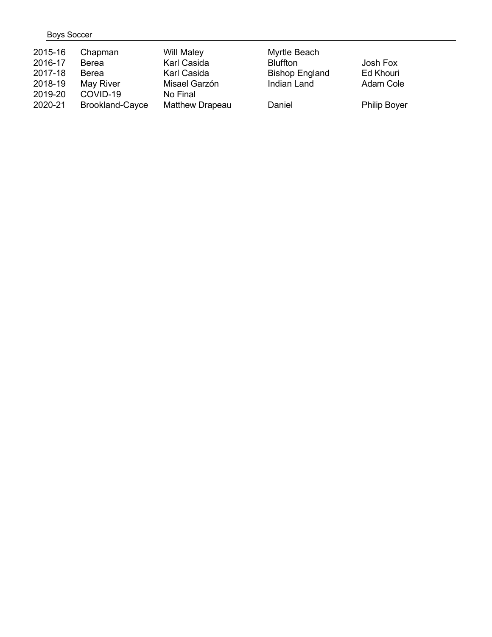### Boys Soccer

| 2015-16 | Chapman                | Will Maley             | Myrtle Beach          |                     |
|---------|------------------------|------------------------|-----------------------|---------------------|
| 2016-17 | Berea                  | Karl Casida            | <b>Bluffton</b>       | Josh Fox            |
| 2017-18 | Berea                  | Karl Casida            | <b>Bishop England</b> | Ed Khouri           |
| 2018-19 | May River              | Misael Garzón          | Indian Land           | Adam Cole           |
| 2019-20 | COVID-19               | No Final               |                       |                     |
| 2020-21 | <b>Brookland-Cayce</b> | <b>Matthew Drapeau</b> | Daniel                | <b>Philip Boyer</b> |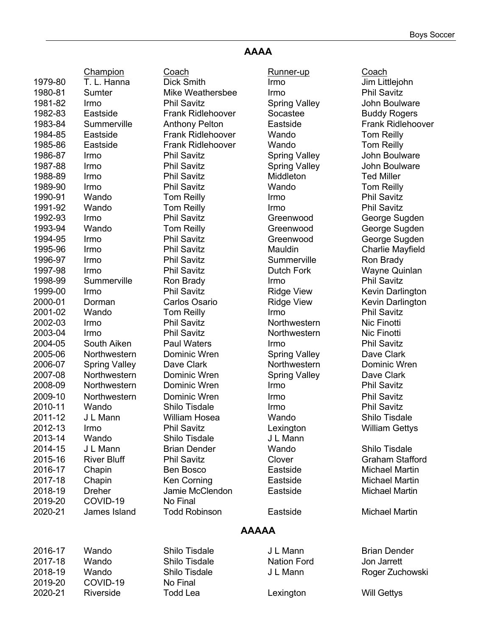## **AAAA**

|         | <b>Champion</b>      | Coach                    | Runner-up            | Coach                    |
|---------|----------------------|--------------------------|----------------------|--------------------------|
| 1979-80 | T. L. Hanna          | <b>Dick Smith</b>        | Irmo                 | Jim Littlejohn           |
| 1980-81 | Sumter               | Mike Weathersbee         | Irmo                 | <b>Phil Savitz</b>       |
| 1981-82 | Irmo                 | <b>Phil Savitz</b>       | <b>Spring Valley</b> | John Boulware            |
| 1982-83 | Eastside             | Frank Ridlehoover        | Socastee             | <b>Buddy Rogers</b>      |
| 1983-84 | Summerville          | <b>Anthony Pelton</b>    | Eastside             | <b>Frank Ridlehoover</b> |
| 1984-85 | Eastside             | <b>Frank Ridlehoover</b> | Wando                | <b>Tom Reilly</b>        |
| 1985-86 | Eastside             | <b>Frank Ridlehoover</b> | Wando                | <b>Tom Reilly</b>        |
| 1986-87 | Irmo                 | <b>Phil Savitz</b>       | <b>Spring Valley</b> | John Boulware            |
| 1987-88 | Irmo                 | <b>Phil Savitz</b>       | <b>Spring Valley</b> | John Boulware            |
| 1988-89 | Irmo                 | <b>Phil Savitz</b>       | Middleton            | <b>Ted Miller</b>        |
| 1989-90 | Irmo                 | <b>Phil Savitz</b>       | Wando                | <b>Tom Reilly</b>        |
| 1990-91 | Wando                | <b>Tom Reilly</b>        | Irmo                 | <b>Phil Savitz</b>       |
| 1991-92 | Wando                | <b>Tom Reilly</b>        | Irmo                 | <b>Phil Savitz</b>       |
| 1992-93 | Irmo                 | <b>Phil Savitz</b>       | Greenwood            | George Sugden            |
| 1993-94 | Wando                | <b>Tom Reilly</b>        | Greenwood            | George Sugden            |
| 1994-95 | Irmo                 | <b>Phil Savitz</b>       | Greenwood            | George Sugden            |
| 1995-96 | Irmo                 | <b>Phil Savitz</b>       | Mauldin              | <b>Charlie Mayfield</b>  |
| 1996-97 | Irmo                 | <b>Phil Savitz</b>       | Summerville          | Ron Brady                |
| 1997-98 | Irmo                 | <b>Phil Savitz</b>       | <b>Dutch Fork</b>    | Wayne Quinlan            |
| 1998-99 | Summerville          | Ron Brady                | Irmo                 | <b>Phil Savitz</b>       |
| 1999-00 | Irmo                 | <b>Phil Savitz</b>       | <b>Ridge View</b>    | Kevin Darlington         |
| 2000-01 | Dorman               | Carlos Osario            | <b>Ridge View</b>    | Kevin Darlington         |
| 2001-02 | Wando                | <b>Tom Reilly</b>        | Irmo                 | <b>Phil Savitz</b>       |
| 2002-03 | Irmo                 | <b>Phil Savitz</b>       | Northwestern         | Nic Finotti              |
| 2003-04 | Irmo                 | <b>Phil Savitz</b>       | Northwestern         | Nic Finotti              |
| 2004-05 | South Aiken          | <b>Paul Waters</b>       | Irmo                 | <b>Phil Savitz</b>       |
| 2005-06 | Northwestern         | Dominic Wren             | <b>Spring Valley</b> | Dave Clark               |
| 2006-07 | <b>Spring Valley</b> | Dave Clark               | Northwestern         | Dominic Wren             |
| 2007-08 | Northwestern         | Dominic Wren             | <b>Spring Valley</b> | Dave Clark               |
| 2008-09 | Northwestern         | Dominic Wren             | Irmo                 | <b>Phil Savitz</b>       |
| 2009-10 | Northwestern         | Dominic Wren             | Irmo                 | <b>Phil Savitz</b>       |
| 2010-11 | Wando                | Shilo Tisdale            | Irmo                 | <b>Phil Savitz</b>       |
| 2011-12 | J L Mann             | William Hosea            | Wando                | Shilo Tisdale            |
| 2012-13 | Irmo                 | <b>Phil Savitz</b>       | Lexington            | <b>William Gettys</b>    |
| 2013-14 | Wando                | Shilo Tisdale            | J L Mann             |                          |
| 2014-15 | J L Mann             | <b>Brian Dender</b>      | Wando                | Shilo Tisdale            |
| 2015-16 | <b>River Bluff</b>   | <b>Phil Savitz</b>       | Clover               | <b>Graham Stafford</b>   |
| 2016-17 | Chapin               | Ben Bosco                | Eastside             | <b>Michael Martin</b>    |
| 2017-18 | Chapin               | Ken Corning              | Eastside             | <b>Michael Martin</b>    |
| 2018-19 | <b>Dreher</b>        | Jamie McClendon          | Eastside             | Michael Martin           |
| 2019-20 | COVID-19             | No Final                 |                      |                          |
| 2020-21 | James Island         | <b>Todd Robinson</b>     | Eastside             | <b>Michael Martin</b>    |
|         |                      |                          | <b>AAAAA</b>         |                          |
|         |                      |                          |                      |                          |
| 2016-17 | Wando                | Shilo Tisdale            | J L Mann             | <b>Brian Dender</b>      |
| 2017-18 | Wando                | Shilo Tisdale            | <b>Nation Ford</b>   | Jon Jarrett              |
| 2018-19 | Wando                | Shilo Tisdale            | J L Mann             | Roger Zuchowski          |
| 2019-20 | COVID-19             | No Final                 |                      |                          |
| 2020-21 | Riverside            | <b>Todd Lea</b>          | Lexington            | <b>Will Gettys</b>       |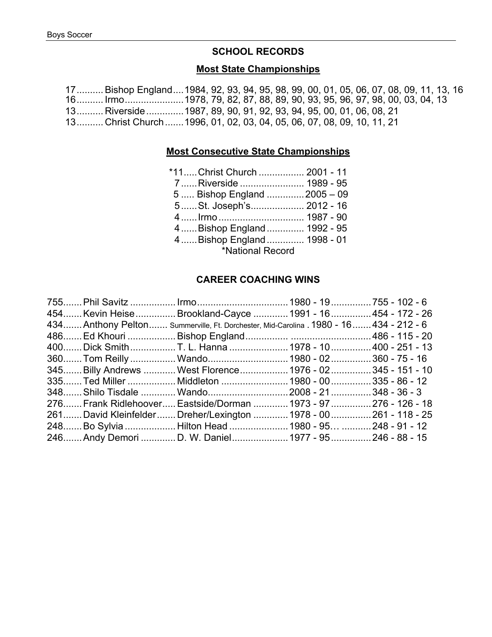#### **SCHOOL RECORDS**

### **Most State Championships**

17..........Bishop England....1984, 92, 93, 94, 95, 98, 99, 00, 01, 05, 06, 07, 08, 09, 11, 13, 16 16.......... Irmo......................1978, 79, 82, 87, 88, 89, 90, 93, 95, 96, 97, 98, 00, 03, 04, 13 13.......... Riverside..............1987, 89, 90, 91, 92, 93, 94, 95, 00, 01, 06, 08, 21 13.......... Christ Church.......1996, 01, 02, 03, 04, 05, 06, 07, 08, 09, 10, 11, 21

#### **Most Consecutive State Championships**

| *11Christ Church  2001 - 11  |  |
|------------------------------|--|
| 7Riverside  1989 - 95        |  |
| 5  Bishop England  2005 - 09 |  |
| 5St. Joseph's 2012 - 16      |  |
|                              |  |
| 4Bishop England 1992 - 95    |  |
| 4  Bishop England  1998 - 01 |  |
| *National Record             |  |
|                              |  |

#### **CAREER COACHING WINS**

|  | 755 Phil Savitz  Irmo 1980 - 19 755 - 102 - 6<br>454 Kevin Heise Brookland-Cayce  1991 - 16 454 - 172 - 26<br>434 Anthony Pelton Summerville, Ft. Dorchester, Mid-Carolina . 1980 - 16 434 - 212 - 6<br>400 Dick Smith T. L. Hanna  1978 - 10 400 - 251 - 13<br>360 Tom Reilly  Wando 1980 - 02360 - 75 - 16<br>345 Billy Andrews  West Florence  1976 - 02 345 - 151 - 10<br>335 Ted Miller  Middleton  1980 - 00  335 - 86 - 12<br>276 Frank Ridlehoover Eastside/Dorman  1973 - 97  276 - 126 - 18<br>261David KleinfelderDreher/Lexington 1978 - 00261 - 118 - 25<br>248Bo Sylvia  Hilton Head 1980 - 95  248 - 91 - 12<br>246 Andy Demori  D. W. Daniel 1977 - 95 246 - 88 - 15 |
|--|--------------------------------------------------------------------------------------------------------------------------------------------------------------------------------------------------------------------------------------------------------------------------------------------------------------------------------------------------------------------------------------------------------------------------------------------------------------------------------------------------------------------------------------------------------------------------------------------------------------------------------------------------------------------------------------|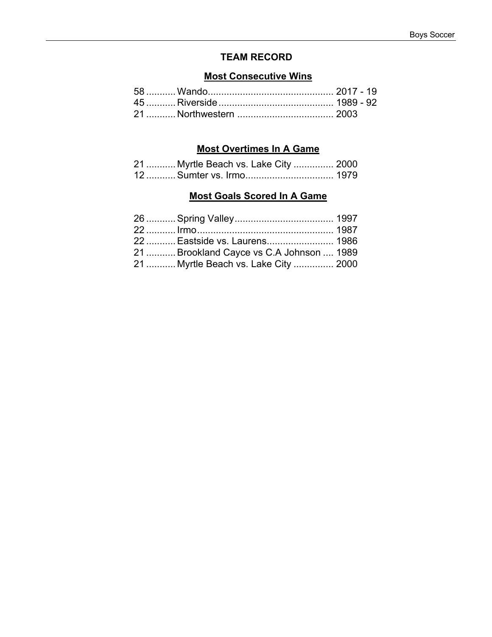## **TEAM RECORD**

### **Most Consecutive Wins**

## **Most Overtimes In A Game**

|  | 21  Myrtle Beach vs. Lake City  2000 |
|--|--------------------------------------|
|  |                                      |

## **Most Goals Scored In A Game**

| 22  Eastside vs. Laurens 1986            |  |
|------------------------------------------|--|
| 21  Brookland Cayce vs C.A Johnson  1989 |  |
| 21  Myrtle Beach vs. Lake City  2000     |  |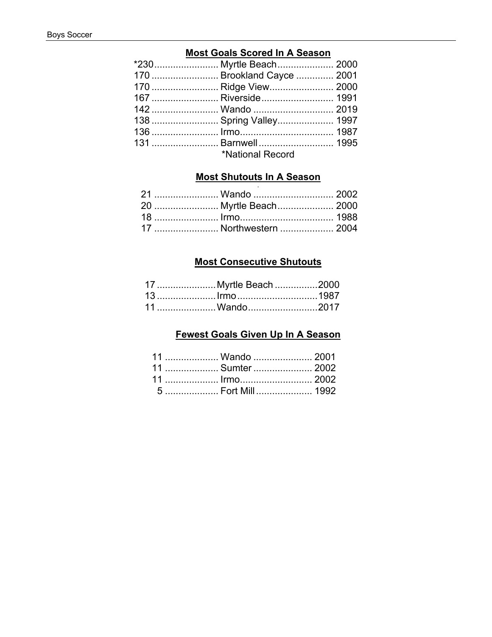### **Most Goals Scored In A Season**

| *230 Myrtle Beach 2000     |  |
|----------------------------|--|
| 170  Brookland Cayce  2001 |  |
| 170  Ridge View 2000       |  |
| 167  Riverside 1991        |  |
|                            |  |
| 138  Spring Valley 1997    |  |
|                            |  |
|                            |  |
| *National Record           |  |

#### **Most Shutouts In A Season**  $\sim$

| 21  Wando  2002        |  |
|------------------------|--|
| 20  Myrtle Beach 2000  |  |
|                        |  |
| 17  Northwestern  2004 |  |

### **Most Consecutive Shutouts**

| 17  Myrtle Beach 2000 |  |
|-----------------------|--|
|                       |  |
| 11  Wando2017         |  |

## Fewest Goals Given Up In A Season

| 11  Wando  2001                  |  |
|----------------------------------|--|
| 11  Sumter  2002                 |  |
| 11  Irmo 2002                    |  |
| 5 ………………… Fort Mill ………………… 1992 |  |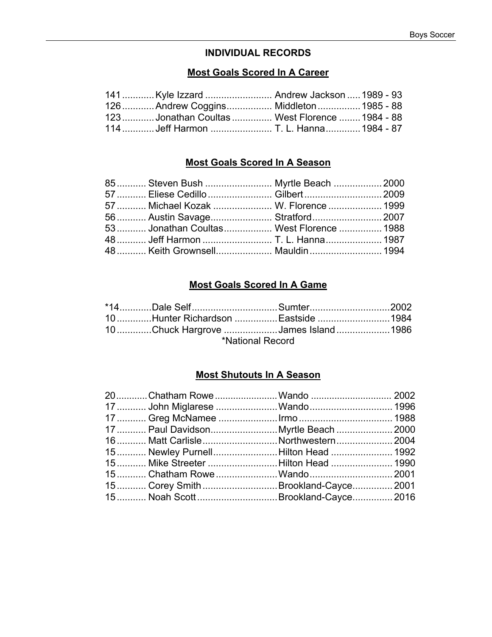### **INDIVIDUAL RECORDS**

### **Most Goals Scored In A Career**

| 141  Kyle Izzard  Andrew Jackson  1989 - 93  |  |  |
|----------------------------------------------|--|--|
| 126  Andrew Coggins Middleton  1985 - 88     |  |  |
| 123Jonathan Coultas West Florence  1984 - 88 |  |  |
| 114  Jeff Harmon  T. L. Hanna 1984 - 87      |  |  |

### **Most Goals Scored In A Season**

| 85 Steven Bush  Myrtle Beach  2000      |  |
|-----------------------------------------|--|
| 57  Eliese Cedillo  Gilbert  2009       |  |
| 57  Michael Kozak  W. Florence  1999    |  |
| 56  Austin Savage Stratford 2007        |  |
| 53 Jonathan Coultas West Florence  1988 |  |
| 48 Jeff Harmon  T. L. Hanna 1987        |  |
| 48 Keith Grownsell Mauldin 1994         |  |

## **Most Goals Scored In A Game**

|                  | *14Dale SelfSumter2002               |  |  |
|------------------|--------------------------------------|--|--|
|                  | 1984Hunter Richardson  Eastside 1984 |  |  |
|                  | 10Chuck Hargrove James Island1986    |  |  |
| *National Record |                                      |  |  |

#### **Most Shutouts In A Season**

| 20Chatham Rowe Wando  2002            |  |
|---------------------------------------|--|
| 17  John Miglarese Wando 1996         |  |
|                                       |  |
| 17  Paul Davidson Myrtle Beach  2000  |  |
| 16  Matt Carlisle  Northwestern  2004 |  |
| 15 Newley PurnellHilton Head  1992    |  |
| 15 Mike Streeter Hilton Head  1990    |  |
| 15 Chatham Rowe  Wando 2001           |  |
| 15 Corey SmithBrookland-Cayce 2001    |  |
|                                       |  |